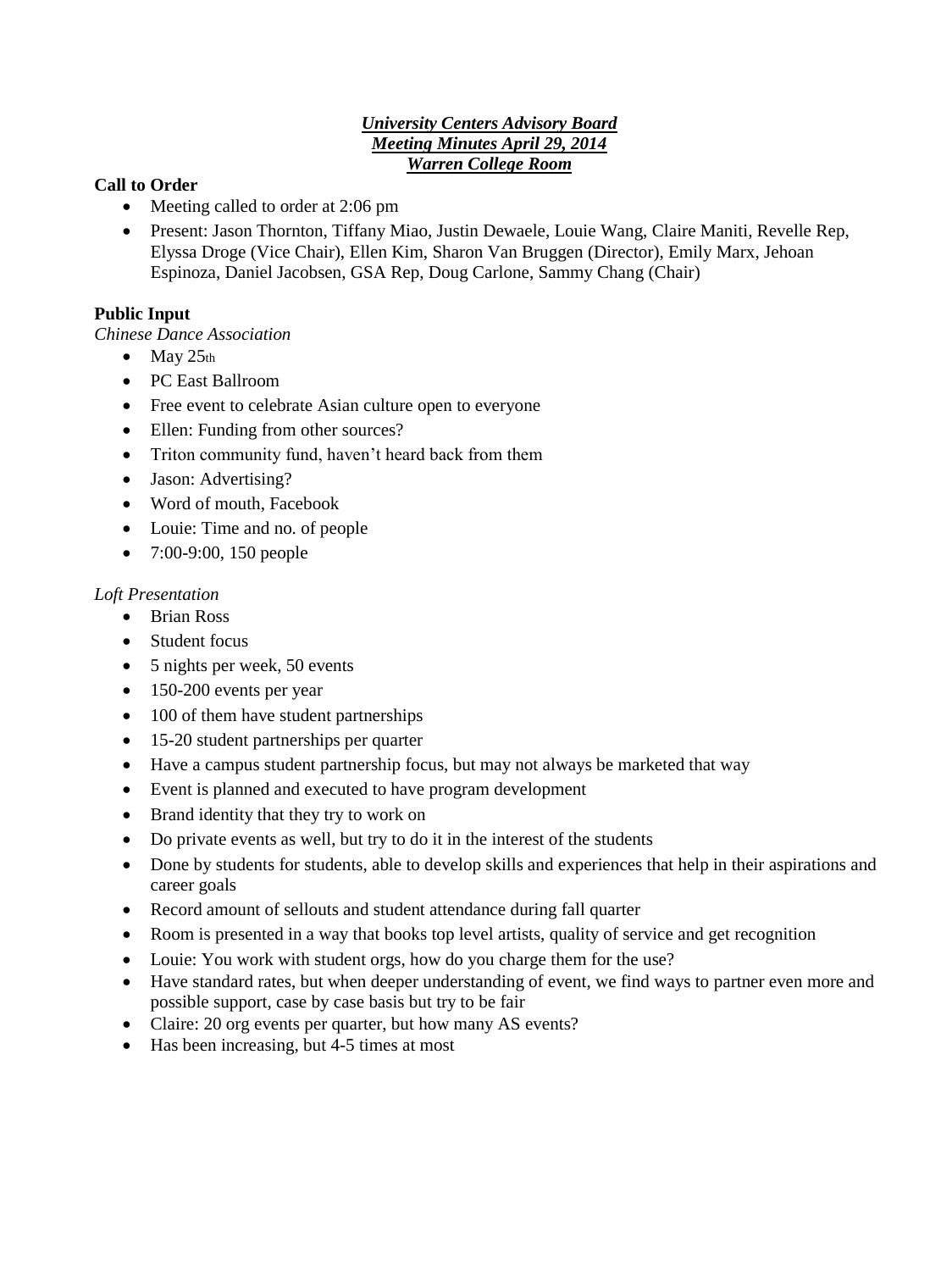#### *University Centers Advisory Board Meeting Minutes April 29, 2014 Warren College Room*

## **Call to Order**

- Meeting called to order at 2:06 pm
- Present: Jason Thornton, Tiffany Miao, Justin Dewaele, Louie Wang, Claire Maniti, Revelle Rep, Elyssa Droge (Vice Chair), Ellen Kim, Sharon Van Bruggen (Director), Emily Marx, Jehoan Espinoza, Daniel Jacobsen, GSA Rep, Doug Carlone, Sammy Chang (Chair)

# **Public Input**

*Chinese Dance Association* 

- $\bullet$  May 25th
- PC East Ballroom
- Free event to celebrate Asian culture open to everyone
- Ellen: Funding from other sources?
- Triton community fund, haven't heard back from them
- Jason: Advertising?
- Word of mouth, Facebook
- Louie: Time and no. of people
- 7:00-9:00, 150 people

#### *Loft Presentation*

- Brian Ross
- Student focus
- 5 nights per week, 50 events
- $\bullet$  150-200 events per year
- 100 of them have student partnerships
- 15-20 student partnerships per quarter
- Have a campus student partnership focus, but may not always be marketed that way
- Event is planned and executed to have program development
- Brand identity that they try to work on
- Do private events as well, but try to do it in the interest of the students
- Done by students for students, able to develop skills and experiences that help in their aspirations and career goals
- Record amount of sellouts and student attendance during fall quarter
- Room is presented in a way that books top level artists, quality of service and get recognition
- Louie: You work with student orgs, how do you charge them for the use?
- Have standard rates, but when deeper understanding of event, we find ways to partner even more and possible support, case by case basis but try to be fair
- Claire: 20 org events per quarter, but how many AS events?
- Has been increasing, but 4-5 times at most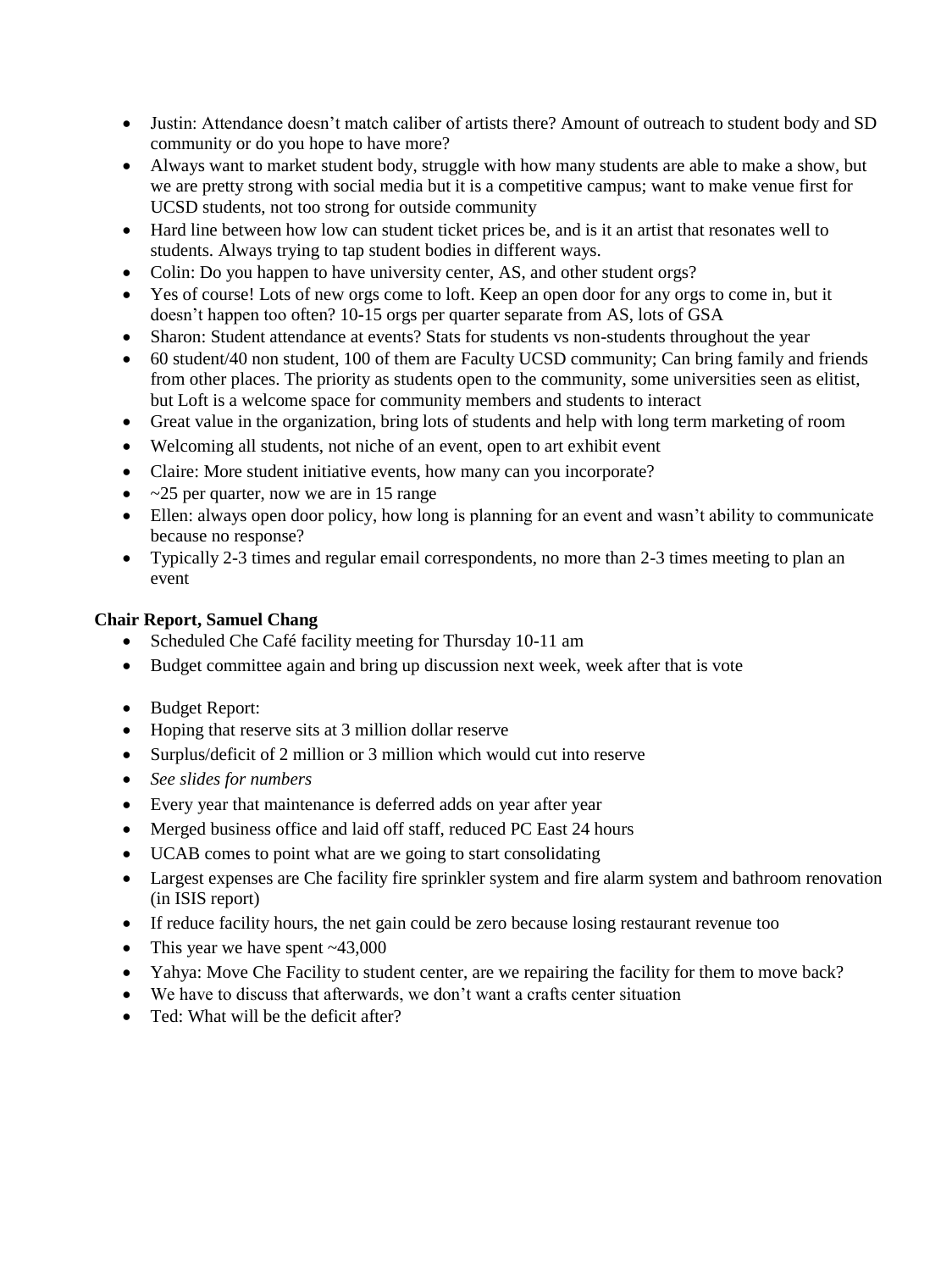- Justin: Attendance doesn't match caliber of artists there? Amount of outreach to student body and SD community or do you hope to have more?
- Always want to market student body, struggle with how many students are able to make a show, but we are pretty strong with social media but it is a competitive campus; want to make venue first for UCSD students, not too strong for outside community
- Hard line between how low can student ticket prices be, and is it an artist that resonates well to students. Always trying to tap student bodies in different ways.
- Colin: Do you happen to have university center, AS, and other student orgs?
- Yes of course! Lots of new orgs come to loft. Keep an open door for any orgs to come in, but it doesn't happen too often? 10-15 orgs per quarter separate from AS, lots of GSA
- Sharon: Student attendance at events? Stats for students vs non-students throughout the year
- 60 student/40 non student, 100 of them are Faculty UCSD community; Can bring family and friends from other places. The priority as students open to the community, some universities seen as elitist, but Loft is a welcome space for community members and students to interact
- Great value in the organization, bring lots of students and help with long term marketing of room
- Welcoming all students, not niche of an event, open to art exhibit event
- Claire: More student initiative events, how many can you incorporate?
- $\sim$  25 per quarter, now we are in 15 range
- Ellen: always open door policy, how long is planning for an event and wasn't ability to communicate because no response?
- Typically 2-3 times and regular email correspondents, no more than 2-3 times meeting to plan an event

## **Chair Report, Samuel Chang**

- Scheduled Che Café facility meeting for Thursday 10-11 am
- Budget committee again and bring up discussion next week, week after that is vote
- Budget Report:
- Hoping that reserve sits at 3 million dollar reserve
- Surplus/deficit of 2 million or 3 million which would cut into reserve
- *See slides for numbers*
- Every year that maintenance is deferred adds on year after year
- Merged business office and laid off staff, reduced PC East 24 hours
- UCAB comes to point what are we going to start consolidating
- Largest expenses are Che facility fire sprinkler system and fire alarm system and bathroom renovation (in ISIS report)
- If reduce facility hours, the net gain could be zero because losing restaurant revenue too
- This year we have spent  $\sim$ 43,000
- Yahya: Move Che Facility to student center, are we repairing the facility for them to move back?
- We have to discuss that afterwards, we don't want a crafts center situation
- Ted: What will be the deficit after?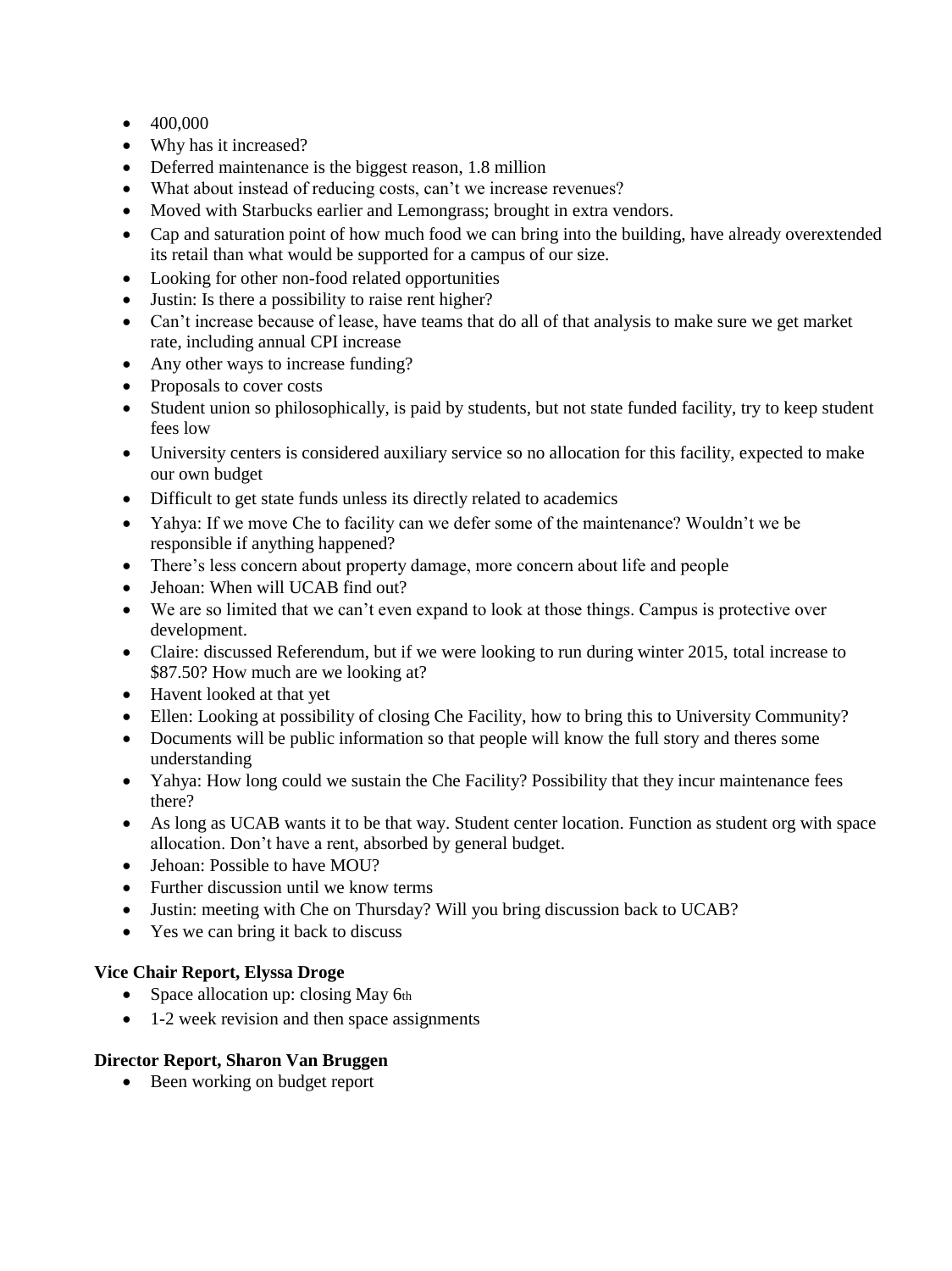- $-400,000$
- Why has it increased?
- Deferred maintenance is the biggest reason, 1.8 million
- What about instead of reducing costs, can't we increase revenues?
- Moved with Starbucks earlier and Lemongrass; brought in extra vendors.
- Cap and saturation point of how much food we can bring into the building, have already overextended its retail than what would be supported for a campus of our size.
- Looking for other non-food related opportunities
- Justin: Is there a possibility to raise rent higher?
- Can't increase because of lease, have teams that do all of that analysis to make sure we get market rate, including annual CPI increase
- Any other ways to increase funding?
- Proposals to cover costs
- Student union so philosophically, is paid by students, but not state funded facility, try to keep student fees low
- University centers is considered auxiliary service so no allocation for this facility, expected to make our own budget
- Difficult to get state funds unless its directly related to academics
- Yahya: If we move Che to facility can we defer some of the maintenance? Wouldn't we be responsible if anything happened?
- There's less concern about property damage, more concern about life and people
- Jehoan: When will UCAB find out?
- We are so limited that we can't even expand to look at those things. Campus is protective over development.
- Claire: discussed Referendum, but if we were looking to run during winter 2015, total increase to \$87.50? How much are we looking at?
- Havent looked at that yet
- Ellen: Looking at possibility of closing Che Facility, how to bring this to University Community?
- Documents will be public information so that people will know the full story and theres some understanding
- Yahya: How long could we sustain the Che Facility? Possibility that they incur maintenance fees there?
- As long as UCAB wants it to be that way. Student center location. Function as student org with space allocation. Don't have a rent, absorbed by general budget.
- Jehoan: Possible to have MOU?
- Further discussion until we know terms
- Justin: meeting with Che on Thursday? Will you bring discussion back to UCAB?
- Yes we can bring it back to discuss

## **Vice Chair Report, Elyssa Droge**

- Space allocation up: closing May 6th
- 1-2 week revision and then space assignments

## **Director Report, Sharon Van Bruggen**

• Been working on budget report